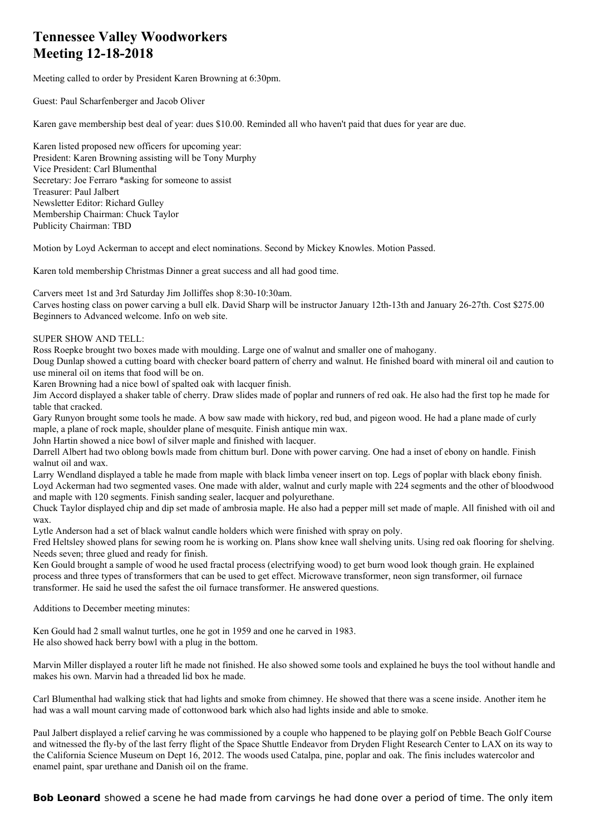## **Tennessee Valley Woodworkers Meeting 12-18-2018**

Meeting called to order by President Karen Browning at 6:30pm.

Guest: Paul Scharfenberger and Jacob Oliver

Karen gave membership best deal of year: dues \$10.00. Reminded all who haven't paid that dues for year are due.

Karen listed proposed new officers for upcoming year: President: Karen Browning assisting will be Tony Murphy Vice President: Carl Blumenthal Secretary: Joe Ferraro \*asking for someone to assist Treasurer: Paul Jalbert Newsletter Editor: Richard Gulley Membership Chairman: Chuck Taylor Publicity Chairman: TBD

Motion by Loyd Ackerman to accept and elect nominations. Second by Mickey Knowles. Motion Passed.

Karen told membership Christmas Dinner a great success and all had good time.

Carvers meet 1st and 3rd Saturday Jim Jolliffes shop 8:30-10:30am.

Carves hosting class on power carving a bull elk. David Sharp will be instructor January 12th-13th and January 26-27th. Cost \$275.00 Beginners to Advanced welcome. Info on web site.

SUPER SHOW AND TELL:

Ross Roepke brought two boxes made with moulding. Large one of walnut and smaller one of mahogany.

Doug Dunlap showed a cutting board with checker board pattern of cherry and walnut. He finished board with mineral oil and caution to use mineral oil on items that food will be on.

Karen Browning had a nice bowl of spalted oak with lacquer finish.

Jim Accord displayed a shaker table of cherry. Draw slides made of poplar and runners of red oak. He also had the first top he made for table that cracked.

Gary Runyon brought some tools he made. A bow saw made with hickory, red bud, and pigeon wood. He had a plane made of curly maple, a plane of rock maple, shoulder plane of mesquite. Finish antique min wax.

John Hartin showed a nice bowl of silver maple and finished with lacquer.

Darrell Albert had two oblong bowls made from chittum burl. Done with power carving. One had a inset of ebony on handle. Finish walnut oil and wax.

Larry Wendland displayed a table he made from maple with black limba veneer insert on top. Legs of poplar with black ebony finish. Loyd Ackerman had two segmented vases. One made with alder, walnut and curly maple with 224 segments and the other of bloodwood and maple with 120 segments. Finish sanding sealer, lacquer and polyurethane.

Chuck Taylor displayed chip and dip set made of ambrosia maple. He also had a pepper mill set made of maple. All finished with oil and wax.

Lytle Anderson had a set of black walnut candle holders which were finished with spray on poly.

Fred Heltsley showed plans for sewing room he is working on. Plans show knee wall shelving units. Using red oak flooring for shelving. Needs seven; three glued and ready for finish.

Ken Gould brought a sample of wood he used fractal process (electrifying wood) to get burn wood look though grain. He explained process and three types of transformers that can be used to get effect. Microwave transformer, neon sign transformer, oil furnace transformer. He said he used the safest the oil furnace transformer. He answered questions.

Additions to December meeting minutes:

Ken Gould had 2 small walnut turtles, one he got in 1959 and one he carved in 1983. He also showed hack berry bowl with a plug in the bottom.

Marvin Miller displayed a router lift he made not finished. He also showed some tools and explained he buys the tool without handle and makes his own. Marvin had a threaded lid box he made.

Carl Blumenthal had walking stick that had lights and smoke from chimney. He showed that there was a scene inside. Another item he had was a wall mount carving made of cottonwood bark which also had lights inside and able to smoke.

Paul Jalbert displayed a relief carving he was commissioned by a couple who happened to be playing golf on Pebble Beach Golf Course and witnessed the fly-by of the last ferry flight of the Space Shuttle Endeavor from Dryden Flight Research Center to LAX on its way to the California Science Museum on Dept 16, 2012. The woods used Catalpa, pine, poplar and oak. The finis includes watercolor and enamel paint, spar urethane and Danish oil on the frame.

**Bob Leonard** showed a scene he had made from carvings he had done over a period of time. The only item